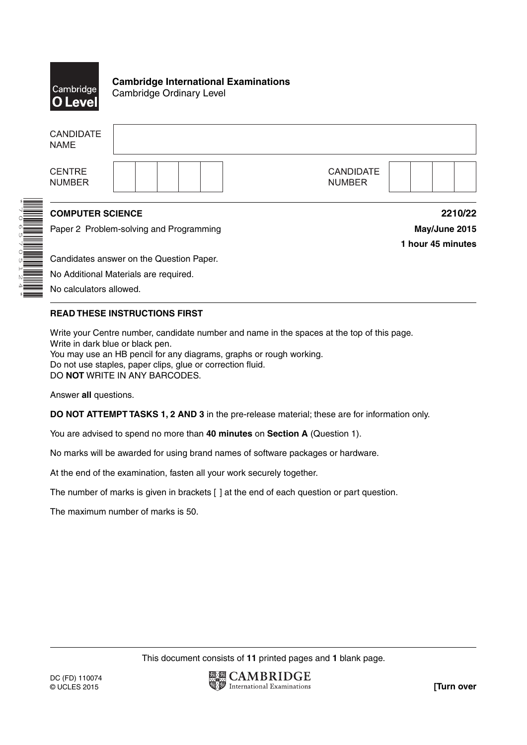

\*7065705124\*

**Cambridge International Examinations** Cambridge Ordinary Level

|                  | <b>CANDIDATE</b><br><b>NAME</b> |                                          |                   |
|------------------|---------------------------------|------------------------------------------|-------------------|
|                  | <b>CENTRE</b><br><b>NUMBER</b>  | <b>CANDIDATE</b><br><b>NUMBER</b>        |                   |
| <b>A BEATHER</b> | <b>COMPUTER SCIENCE</b>         |                                          | 2210/22           |
|                  |                                 | Paper 2 Problem-solving and Programming  | May/June 2015     |
|                  |                                 |                                          | 1 hour 45 minutes |
|                  |                                 | Candidates answer on the Question Paper. |                   |
|                  |                                 | No Additional Materials are required.    |                   |

No calculators allowed.

## **READ THESE INSTRUCTIONS FIRST**

Write your Centre number, candidate number and name in the spaces at the top of this page. Write in dark blue or black pen. You may use an HB pencil for any diagrams, graphs or rough working. Do not use staples, paper clips, glue or correction fluid. DO **NOT** WRITE IN ANY BARCODES.

Answer **all** questions.

**DO NOT ATTEMPT TASKS 1, 2 AND 3** in the pre-release material; these are for information only.

You are advised to spend no more than **40 minutes** on **Section A** (Question 1).

No marks will be awarded for using brand names of software packages or hardware.

At the end of the examination, fasten all your work securely together.

The number of marks is given in brackets [ ] at the end of each question or part question.

The maximum number of marks is 50.

This document consists of **11** printed pages and **1** blank page.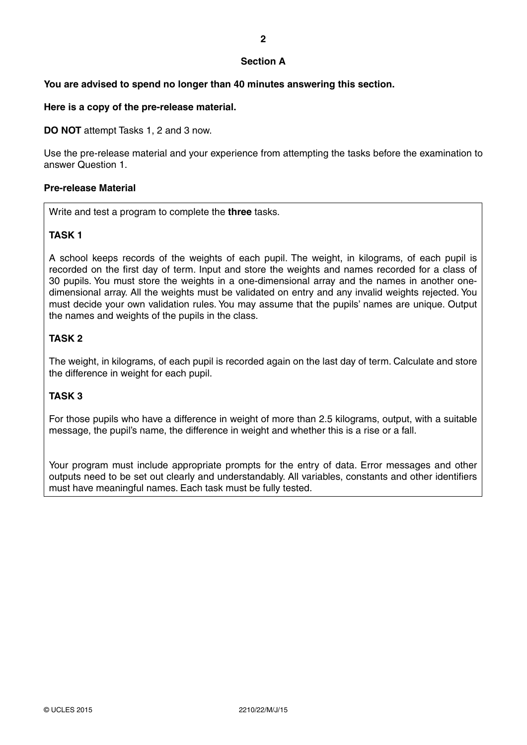## **Section A**

## **You are advised to spend no longer than 40 minutes answering this section.**

## **Here is a copy of the pre-release material.**

**DO NOT** attempt Tasks 1, 2 and 3 now.

Use the pre-release material and your experience from attempting the tasks before the examination to answer Question 1.

#### **Pre-release Material**

Write and test a program to complete the **three** tasks.

## **TASK 1**

A school keeps records of the weights of each pupil. The weight, in kilograms, of each pupil is recorded on the first day of term. Input and store the weights and names recorded for a class of 30 pupils. You must store the weights in a one-dimensional array and the names in another onedimensional array. All the weights must be validated on entry and any invalid weights rejected. You must decide your own validation rules. You may assume that the pupils' names are unique. Output the names and weights of the pupils in the class.

## **TASK 2**

The weight, in kilograms, of each pupil is recorded again on the last day of term. Calculate and store the difference in weight for each pupil.

# **TASK 3**

For those pupils who have a difference in weight of more than 2.5 kilograms, output, with a suitable message, the pupil's name, the difference in weight and whether this is a rise or a fall.

Your program must include appropriate prompts for the entry of data. Error messages and other outputs need to be set out clearly and understandably. All variables, constants and other identifiers must have meaningful names. Each task must be fully tested.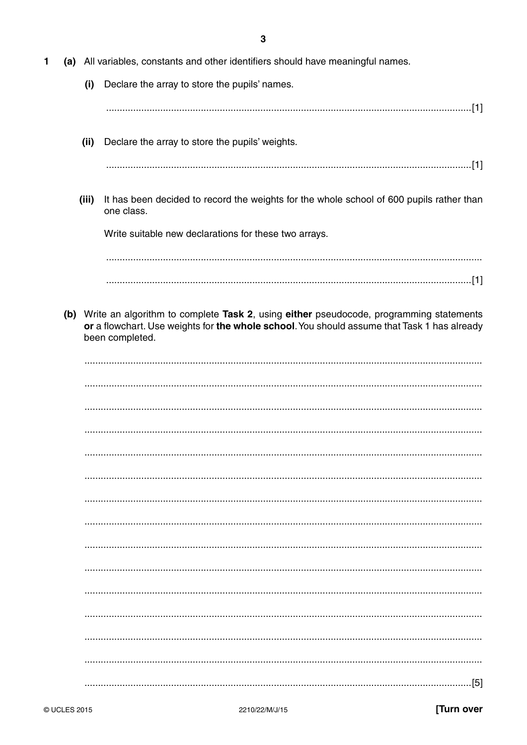|  |  |  | (a) All variables, constants and other identifiers should have meaningful names. |
|--|--|--|----------------------------------------------------------------------------------|
|--|--|--|----------------------------------------------------------------------------------|

(i) Declare the array to store the pupils' names.

# 

(ii) Declare the array to store the pupils' weights.

(iii) It has been decided to record the weights for the whole school of 600 pupils rather than one class.

Write suitable new declarations for these two arrays.

(b) Write an algorithm to complete Task 2, using either pseudocode, programming statements or a flowchart. Use weights for the whole school. You should assume that Task 1 has already been completed.

| $-[5]$ |
|--------|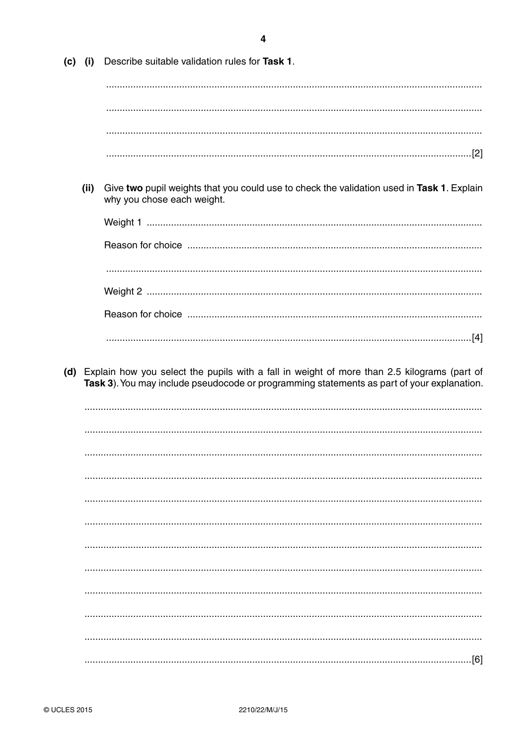$\overline{\mathbf{4}}$ 

| $(c)$ (i) | Describe suitable validation rules for Task 1.                                                                          |
|-----------|-------------------------------------------------------------------------------------------------------------------------|
|           |                                                                                                                         |
|           |                                                                                                                         |
|           |                                                                                                                         |
|           |                                                                                                                         |
| (ii)      | Give two pupil weights that you could use to check the validation used in Task 1. Explain<br>why you chose each weight. |
|           |                                                                                                                         |
|           |                                                                                                                         |
|           |                                                                                                                         |
|           |                                                                                                                         |
|           |                                                                                                                         |
|           |                                                                                                                         |
|           | Task 3). You may include pseudocode or programming statements as part of your explanation.                              |
|           |                                                                                                                         |
|           |                                                                                                                         |
|           |                                                                                                                         |
|           |                                                                                                                         |
|           |                                                                                                                         |
|           |                                                                                                                         |
|           |                                                                                                                         |
|           |                                                                                                                         |
|           |                                                                                                                         |
|           |                                                                                                                         |
|           |                                                                                                                         |
|           |                                                                                                                         |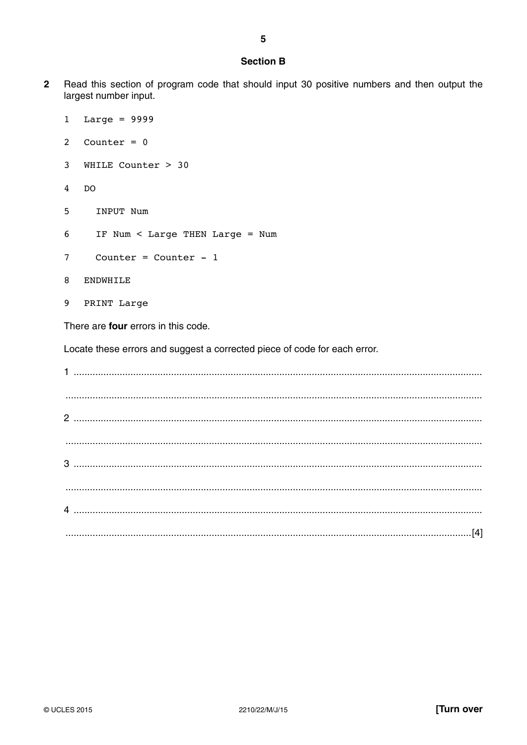#### **Section B**

 $\overline{2}$ Read this section of program code that should input 30 positive numbers and then output the largest number input.

```
Large = 9999\mathbf{1}2^{\circ}Counter = 03 WHILE Counter > 30
  DO
\overline{4}5<sup>5</sup>INPUT Num
6\overline{6}IF Num < Large THEN Large = Num
\overline{7}Counter = Counter - 1ENDWHILE
8
9
    PRINT Large
```
There are four errors in this code.

Locate these errors and suggest a corrected piece of code for each error.

| $\begin{minipage}[c]{0.9\linewidth} \begin{tabular}{l} \hline \textbf{0.01} \end{tabular} \end{minipage} \begin{minipage}[c]{0.9\linewidth} \begin{tabular}{l} \hline \textbf{0.01} \end{tabular} \end{minipage} \end{minipage} \begin{minipage}[c]{0.9\linewidth} \begin{tabular}{l} \hline \textbf{0.01} \end{tabular} \end{minipage} \end{minipage} \begin{minipage}[c]{0.9\linewidth} \begin{tabular}{l} \hline \textbf{0.01} \end{tabular} \end{minipage} \end{minipage} \begin{minipage}[$ |
|--------------------------------------------------------------------------------------------------------------------------------------------------------------------------------------------------------------------------------------------------------------------------------------------------------------------------------------------------------------------------------------------------------------------------------------------------------------------------------------------------|
|                                                                                                                                                                                                                                                                                                                                                                                                                                                                                                  |
|                                                                                                                                                                                                                                                                                                                                                                                                                                                                                                  |
|                                                                                                                                                                                                                                                                                                                                                                                                                                                                                                  |
|                                                                                                                                                                                                                                                                                                                                                                                                                                                                                                  |
|                                                                                                                                                                                                                                                                                                                                                                                                                                                                                                  |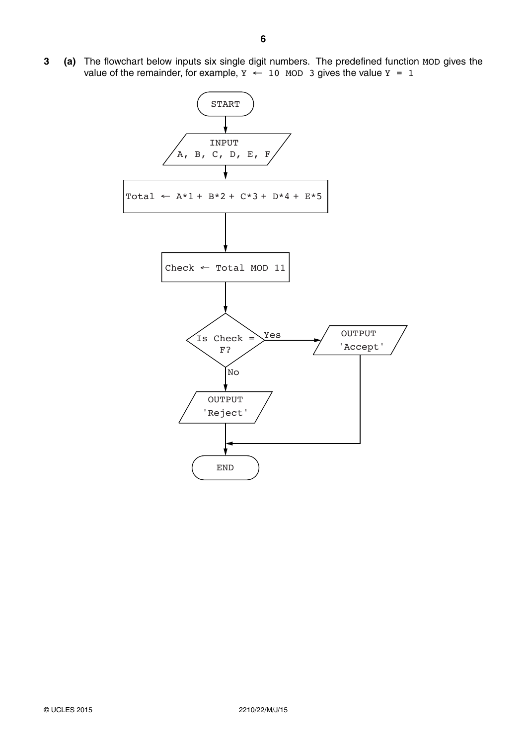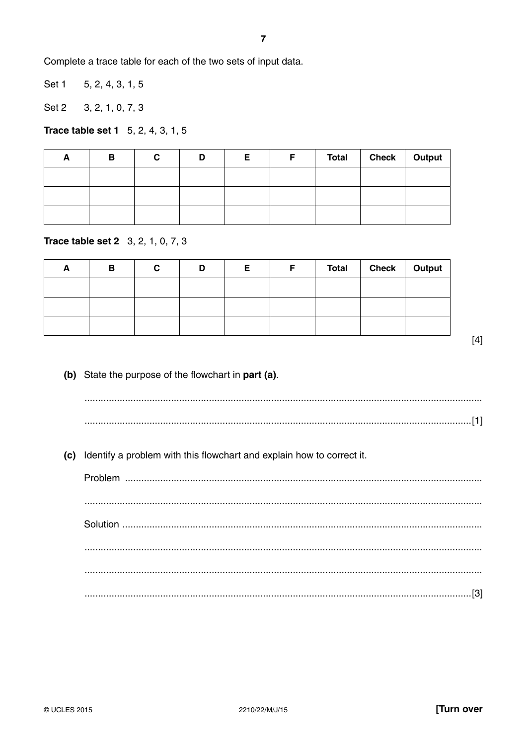Complete a trace table for each of the two sets of input data.

Set 1 5, 2, 4, 3, 1, 5

Set 2  $3, 2, 1, 0, 7, 3$ 

**Trace table set 1** 5, 2, 4, 3, 1, 5

| Ē | В | С | D | F | F | Total | Check   Output |  |
|---|---|---|---|---|---|-------|----------------|--|
|   |   |   |   |   |   |       |                |  |
|   |   |   |   |   |   |       |                |  |
|   |   |   |   |   |   |       |                |  |

**Trace table set 2** 3, 2, 1, 0, 7, 3

| В | r<br>u | D | Е | F. | Total   Check   Output |  |
|---|--------|---|---|----|------------------------|--|
|   |        |   |   |    |                        |  |
|   |        |   |   |    |                        |  |
|   |        |   |   |    |                        |  |

 $[4]$ 

(b) State the purpose of the flowchart in part (a).

(c) Identify a problem with this flowchart and explain how to correct it.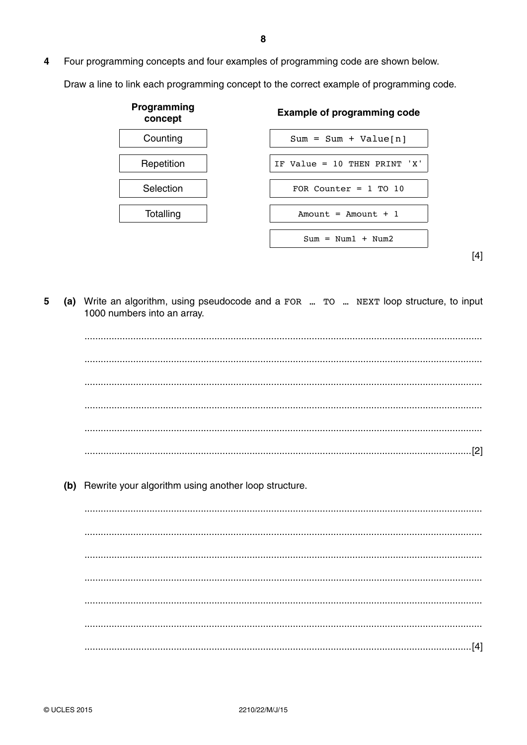4 Four programming concepts and four examples of programming code are shown below.

Draw a line to link each programming concept to the correct example of programming code.



 $[4]$ 

(a) Write an algorithm, using pseudocode and a FOR ... TO ... NEXT loop structure, to input 5 1000 numbers into an array.

(b) Rewrite your algorithm using another loop structure.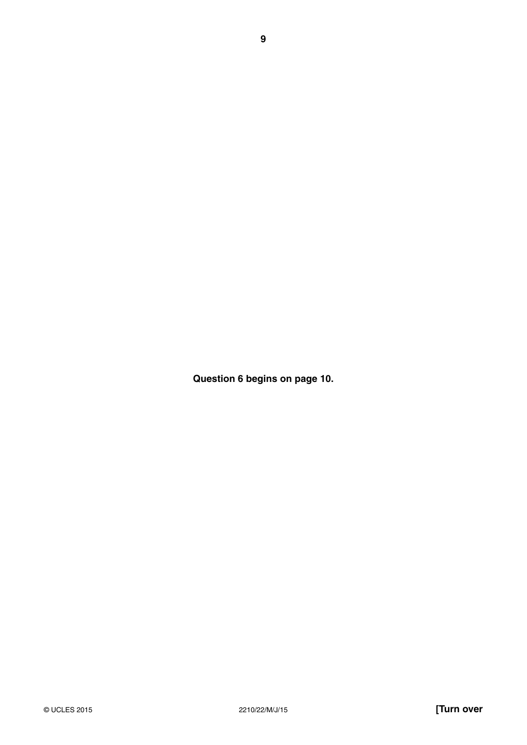**Question 6 begins on page 10.**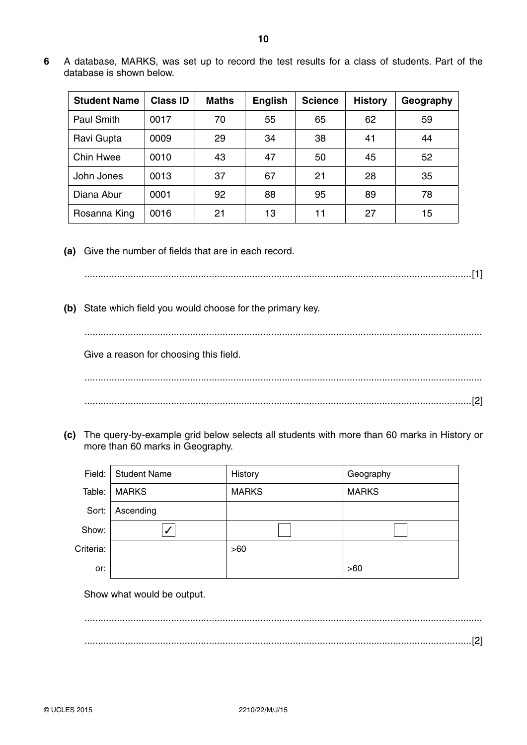**6** A database, MARKS, was set up to record the test results for a class of students. Part of the database is shown below.

| <b>Student Name</b> | <b>Class ID</b> | <b>Maths</b> | <b>English</b> | <b>Science</b> | <b>History</b> | Geography |
|---------------------|-----------------|--------------|----------------|----------------|----------------|-----------|
| Paul Smith          | 0017            | 70           | 55             | 65             | 62             | 59        |
| Ravi Gupta          | 0009            | 29           | 34             | 38             | 41             | 44        |
| Chin Hwee           | 0010            | 43           | 47             | 50             | 45             | 52        |
| John Jones          | 0013            | 37           | 67             | 21             | 28             | 35        |
| Diana Abur          | 0001            | 92           | 88             | 95             | 89             | 78        |
| Rosanna King        | 0016            | 21           | 13             | 11             | 27             | 15        |

 **(a)** Give the number of fields that are in each record.

...............................................................................................................................................[1]

 **(b)** State which field you would choose for the primary key.

...................................................................................................................................................

Give a reason for choosing this field.

 ................................................................................................................................................... ...............................................................................................................................................[2]

 **(c)** The query-by-example grid below selects all students with more than 60 marks in History or more than 60 marks in Geography.

| Field:    | <b>Student Name</b> | History      | Geography    |
|-----------|---------------------|--------------|--------------|
| Table:    | <b>MARKS</b>        | <b>MARKS</b> | <b>MARKS</b> |
| Sort:     | Ascending           |              |              |
| Show:     | ✓                   |              |              |
| Criteria: |                     | >60          |              |
| or:       |                     |              | >60          |

Show what would be output.

 ................................................................................................................................................... ...............................................................................................................................................[2]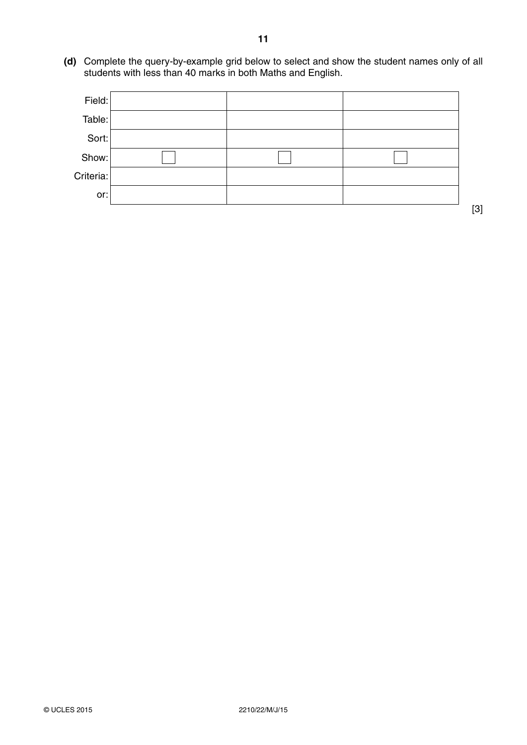**(d)** Complete the query-by-example grid below to select and show the student names only of all students with less than 40 marks in both Maths and English.

| Field:    |  |  |
|-----------|--|--|
| Table:    |  |  |
| Sort:     |  |  |
| Show:     |  |  |
| Criteria: |  |  |
| or:       |  |  |

[3]